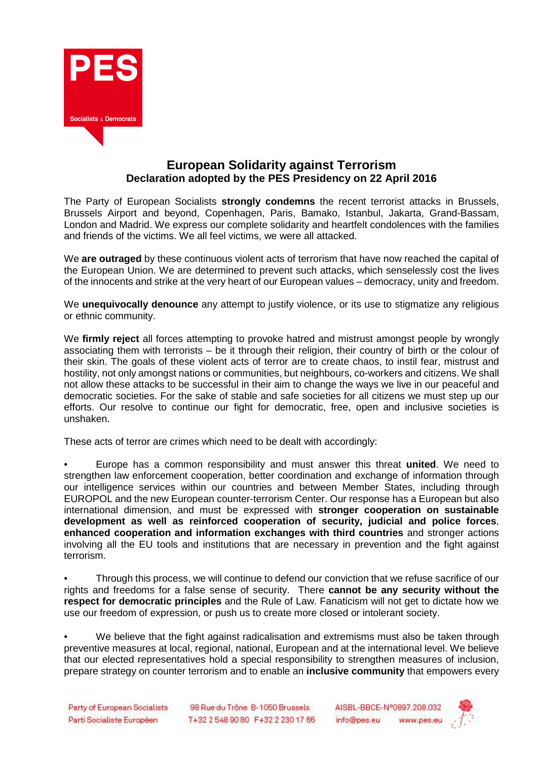

## **European Solidarity against Terrorism Declaration adopted by the PES Presidency on 22 April 2016**

The Party of European Socialists **strongly condemns** the recent terrorist attacks in Brussels, Brussels Airport and beyond, Copenhagen, Paris, Bamako, Istanbul, Jakarta, Grand-Bassam, London and Madrid. We express our complete solidarity and heartfelt condolences with the families and friends of the victims. We all feel victims, we were all attacked.

We **are outraged** by these continuous violent acts of terrorism that have now reached the capital of the European Union. We are determined to prevent such attacks, which senselessly cost the lives of the innocents and strike at the very heart of our European values – democracy, unity and freedom.

We **unequivocally denounce** any attempt to justify violence, or its use to stigmatize any religious or ethnic community.

We **firmly reject** all forces attempting to provoke hatred and mistrust amongst people by wrongly associating them with terrorists – be it through their religion, their country of birth or the colour of their skin. The goals of these violent acts of terror are to create chaos, to instil fear, mistrust and hostility, not only amongst nations or communities, but neighbours, co-workers and citizens. We shall not allow these attacks to be successful in their aim to change the ways we live in our peaceful and democratic societies. For the sake of stable and safe societies for all citizens we must step up our efforts. Our resolve to continue our fight for democratic, free, open and inclusive societies is unshaken.

These acts of terror are crimes which need to be dealt with accordingly:

• Europe has a common responsibility and must answer this threat **united**. We need to strengthen law enforcement cooperation, better coordination and exchange of information through our intelligence services within our countries and between Member States, including through EUROPOL and the new European counter-terrorism Center. Our response has a European but also international dimension, and must be expressed with **stronger cooperation on sustainable development as well as reinforced cooperation of security, judicial and police forces**, **enhanced cooperation and information exchanges with third countries** and stronger actions involving all the EU tools and institutions that are necessary in prevention and the fight against terrorism.

• Through this process, we will continue to defend our conviction that we refuse sacrifice of our rights and freedoms for a false sense of security. There **cannot be any security without the respect for democratic principles** and the Rule of Law. Fanaticism will not get to dictate how we use our freedom of expression, or push us to create more closed or intolerant society.

We believe that the fight against radicalisation and extremisms must also be taken through preventive measures at local, regional, national, European and at the international level. We believe that our elected representatives hold a special responsibility to strengthen measures of inclusion, prepare strategy on counter terrorism and to enable an **inclusive community** that empowers every